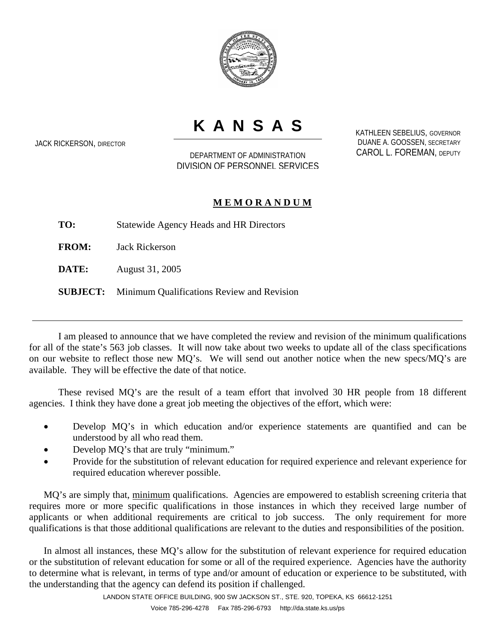

## **KANSAS**

JACK RICKERSON, DIRECTOR

DEPARTMENT OF ADMINISTRATION DIVISION OF PERSONNEL SERVICES KATHLEEN SEBELIUS, GOVERNOR DUANE A. GOOSSEN, SECRETARY CAROL L. FOREMAN, DEPUTY

## **M E M O R A N D U M**

**TO:** Statewide Agency Heads and HR Directors

**FROM:** Jack Rickerson

**DATE:** August 31, 2005

**SUBJECT:** Minimum Qualifications Review and Revision

I am pleased to announce that we have completed the review and revision of the minimum qualifications for all of the state's 563 job classes. It will now take about two weeks to update all of the class specifications on our website to reflect those new MQ's. We will send out another notice when the new specs/MQ's are available. They will be effective the date of that notice.

 These revised MQ's are the result of a team effort that involved 30 HR people from 18 different agencies. I think they have done a great job meeting the objectives of the effort, which were:

- Develop MQ's in which education and/or experience statements are quantified and can be understood by all who read them.
- Develop MQ's that are truly "minimum."
- Provide for the substitution of relevant education for required experience and relevant experience for required education wherever possible.

MQ's are simply that, minimum qualifications. Agencies are empowered to establish screening criteria that requires more or more specific qualifications in those instances in which they received large number of applicants or when additional requirements are critical to job success. The only requirement for more qualifications is that those additional qualifications are relevant to the duties and responsibilities of the position.

In almost all instances, these MQ's allow for the substitution of relevant experience for required education or the substitution of relevant education for some or all of the required experience. Agencies have the authority to determine what is relevant, in terms of type and/or amount of education or experience to be substituted, with the understanding that the agency can defend its position if challenged.

LANDON STATE OFFICE BUILDING, 900 SW JACKSON ST., STE. 920, TOPEKA, KS 66612-1251